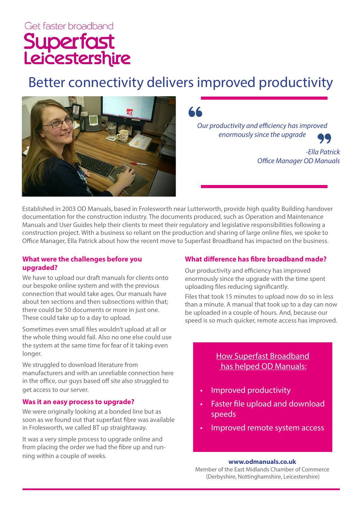# Get faster broadband Superfast<br>Leicestershire

## Better connectivity delivers improved productivity



*Our productivity and efficiency has improved enormously since the upgrade*

> *-Ella Patrick Office Manager OD Manuals*

Established in 2003 OD Manuals, based in Frolesworth near Lutterworth, provide high quality Building handover documentation for the construction industry. The documents produced, such as Operation and Maintenance Manuals and User Guides help their clients to meet their regulatory and legislative responsibilities following a construction project. With a business so reliant on the production and sharing of large online files, we spoke to Office Manager, Ella Patrick about how the recent move to Superfast Broadband has impacted on the business.

#### **What were the challenges before you upgraded?**

We have to upload our draft manuals for clients onto our bespoke online system and with the previous connection that would take ages. Our manuals have about ten sections and then subsections within that; there could be 50 documents or more in just one. These could take up to a day to upload.

Sometimes even small files wouldn't upload at all or the whole thing would fail. Also no one else could use the system at the same time for fear of it taking even longer.

We struggled to download literature from manufacturers and with an unreliable connection here in the office, our guys based off site also struggled to get access to our server.

#### **Was it an easy process to upgrade?**

We were originally looking at a bonded line but as soon as we found out that superfast fibre was available in Frolesworth, we called BT up straightaway.

It was a very simple process to upgrade online and from placing the order we had the fibre up and running within a couple of weeks.

#### **What difference has fibre broadband made?**

Our productivity and efficiency has improved enormously since the upgrade with the time spent uploading files reducing significantly.

Files that took 15 minutes to upload now do so in less than a minute. A manual that took up to a day can now be uploaded in a couple of hours. And, because our speed is so much quicker, remote access has improved.

### How Superfast Broadband has helped OD Manuals:

- Improved productivity
- Faster file upload and download speeds
- Improved remote system access

#### **www.odmanuals.co.uk**

Member of the East Midlands Chamber of Commerce (Derbyshire, Nottinghamshire, Leicestershire)